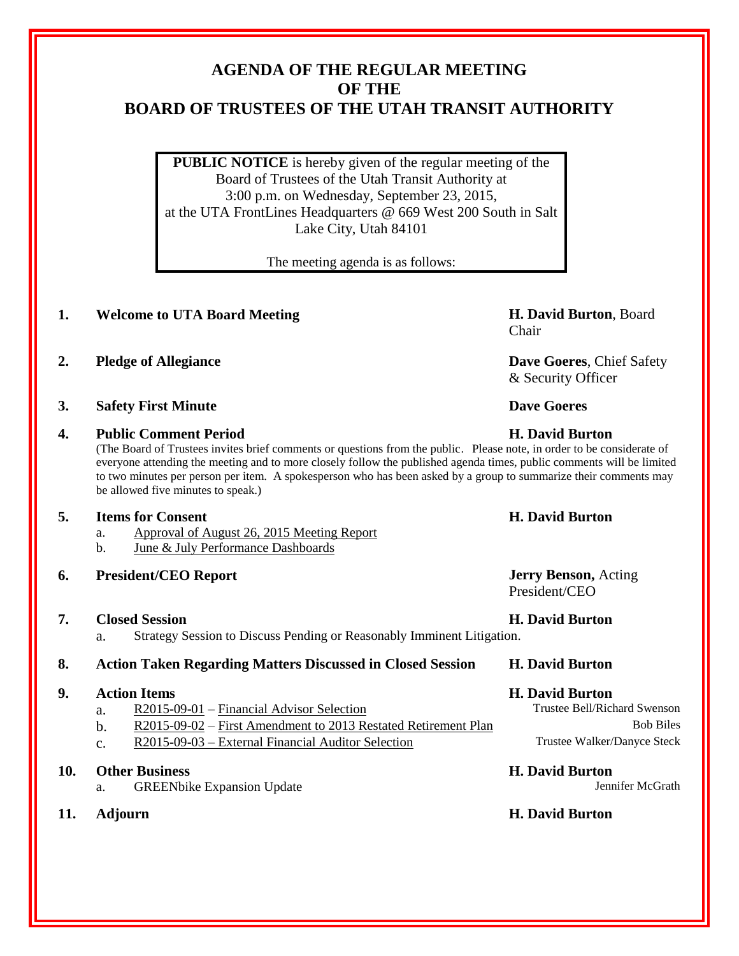# **AGENDA OF THE REGULAR MEETING OF THE BOARD OF TRUSTEES OF THE UTAH TRANSIT AUTHORITY**

**PUBLIC NOTICE** is hereby given of the regular meeting of the Board of Trustees of the Utah Transit Authority at 3:00 p.m. on Wednesday, September 23, 2015, at the UTA FrontLines Headquarters @ 669 West 200 South in Salt Lake City, Utah 84101

The meeting agenda is as follows:

## **1. Welcome to UTA Board Meeting H. David Burton**, Board

- **2. Pledge of Allegiance Dave Goeres**, Chief Safety
- **3. Safety First Minute Dave Goeres**

### **4. Public Comment Period H. David Burton**

(The Board of Trustees invites brief comments or questions from the public. Please note, in order to be considerate of everyone attending the meeting and to more closely follow the published agenda times, public comments will be limited to two minutes per person per item. A spokesperson who has been asked by a group to summarize their comments may be allowed five minutes to speak.)

### **5. Items for Consent H. David Burton**

- a. Approval of August 26, 2015 Meeting Report
- b. June & July Performance Dashboards
- **6. President/CEO Report Jerry Benson,** Acting

### **7. Closed Session H. David Burton**

a. Strategy Session to Discuss Pending or Reasonably Imminent Litigation.

### **8. Action Taken Regarding Matters Discussed in Closed Session H. David Burton**

### **9. Action Items H. David Burton**

- a. R2015-09-01 Financial Advisor Selection Trustee Bell/Richard Swenson
- b. R2015-09-02 First Amendment to 2013 Restated Retirement Plan Bob Biles
- c. R2015-09-03 External Financial Auditor Selection Trustee Walker/Danyce Steck

### **10. Other Business H. David Burton**

- a. GREENbike Expansion Update **Jennifer McGrath** Jennifer McGrath
- 

# Chair

& Security Officer

President/CEO

### **11. Adjourn H. David Burton**